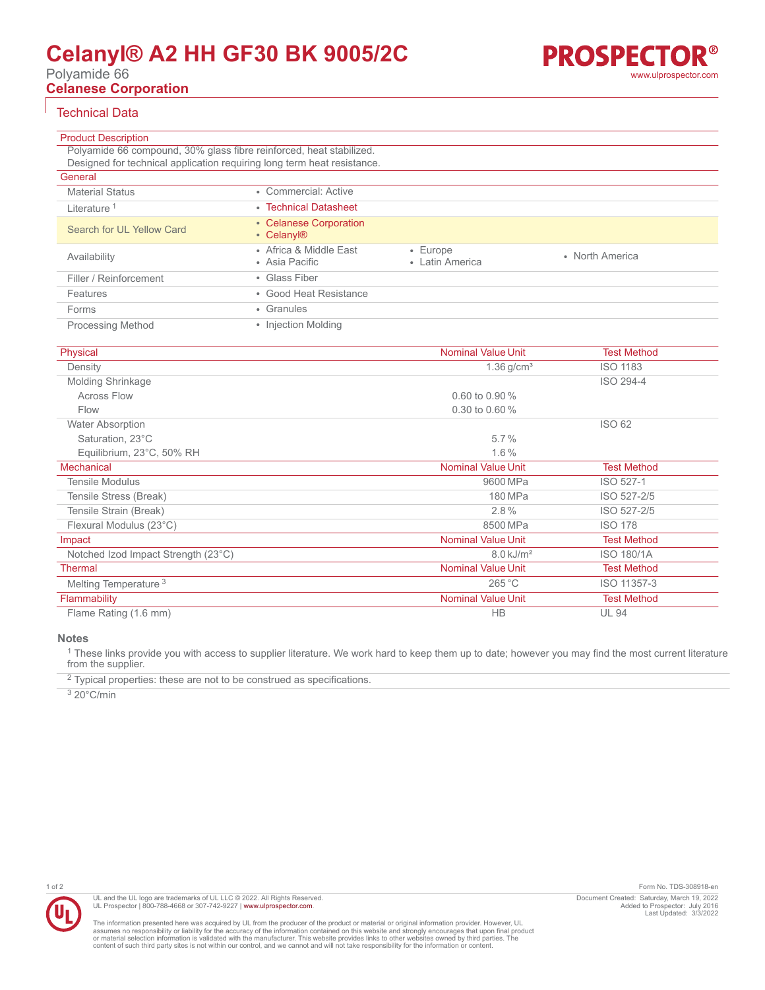# **Celanyl® A2 HH GF30 BK 9005/2C**

Polyamide 66

**Celanese Corporation**

## Technical Data

| <b>Product Description</b>                                              |                                                  |                                   |                 |  |
|-------------------------------------------------------------------------|--------------------------------------------------|-----------------------------------|-----------------|--|
| Polyamide 66 compound, 30% glass fibre reinforced, heat stabilized.     |                                                  |                                   |                 |  |
| Designed for technical application requiring long term heat resistance. |                                                  |                                   |                 |  |
| General                                                                 |                                                  |                                   |                 |  |
| <b>Material Status</b>                                                  | • Commercial: Active                             |                                   |                 |  |
| Literature <sup>1</sup>                                                 | • Technical Datasheet                            |                                   |                 |  |
| Search for UL Yellow Card                                               | • Celanese Corporation<br>• Celanyl <sup>®</sup> |                                   |                 |  |
| Availability                                                            | • Africa & Middle East<br>• Asia Pacific         | $\cdot$ Europe<br>• Latin America | • North America |  |
| Filler / Reinforcement                                                  | • Glass Fiber                                    |                                   |                 |  |
| Features                                                                | • Good Heat Resistance                           |                                   |                 |  |
| Forms                                                                   | • Granules                                       |                                   |                 |  |
| <b>Processing Method</b>                                                | • Injection Molding                              |                                   |                 |  |

| Physical                            | <b>Nominal Value Unit</b> | <b>Test Method</b> |
|-------------------------------------|---------------------------|--------------------|
| Density                             | $1.36$ g/cm <sup>3</sup>  | <b>ISO 1183</b>    |
| Molding Shrinkage                   |                           | ISO 294-4          |
| <b>Across Flow</b>                  | 0.60 to 0.90 $%$          |                    |
| Flow                                | 0.30 to 0.60 $%$          |                    |
| <b>Water Absorption</b>             |                           | <b>ISO 62</b>      |
| Saturation, 23°C                    | $5.7\%$                   |                    |
| Equilibrium, 23°C, 50% RH           | $1.6\%$                   |                    |
| <b>Mechanical</b>                   | <b>Nominal Value Unit</b> | <b>Test Method</b> |
| <b>Tensile Modulus</b>              | 9600 MPa                  | ISO 527-1          |
| Tensile Stress (Break)              | 180 MPa                   | ISO 527-2/5        |
| Tensile Strain (Break)              | 2.8%                      | ISO 527-2/5        |
| Flexural Modulus (23°C)             | 8500 MPa                  | <b>ISO 178</b>     |
| Impact                              | <b>Nominal Value Unit</b> | <b>Test Method</b> |
| Notched Izod Impact Strength (23°C) | $8.0 \text{ kJ/m}^2$      | <b>ISO 180/1A</b>  |
| <b>Thermal</b>                      | <b>Nominal Value Unit</b> | <b>Test Method</b> |
| Melting Temperature <sup>3</sup>    | 265 °C                    | ISO 11357-3        |
| Flammability                        | <b>Nominal Value Unit</b> | <b>Test Method</b> |
| Flame Rating (1.6 mm)               | <b>HB</b>                 | <b>UL 94</b>       |

**Notes**

<sup>1</sup> These links provide you with access to supplier literature. We work hard to keep them up to date; however you may find the most current literature from the supplier.

 $2$  Typical properties: these are not to be construed as specifications.

3 20°C/min



1 of 2 Form No. TDS-308918-en Document Created: Saturday, March 19, 2022 Added to Prospector: July 2016 Last Updated: 3/3/2022

The information presented here was acquired by UL from the producer of the product or material or original information provider. However, UL<br>assumes no responsibility or liability for the accuracy of the information contai